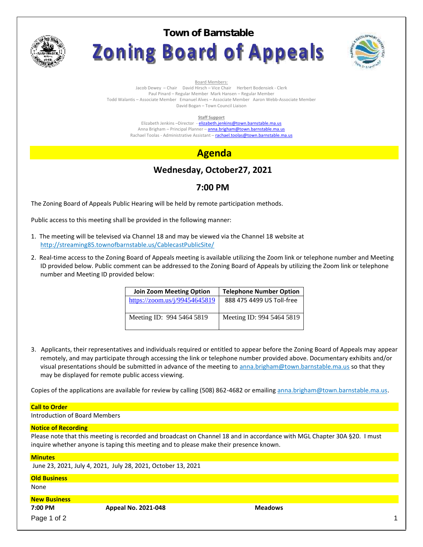

**Town of BarnstableZoning Board of Appeals** 



Board Members:

Jacob Dewey – Chair David Hirsch – Vice Chair Herbert Bodensiek - Clerk Paul Pinard – Regular Member Mark Hansen – Regular Member Todd Walantis – Associate Member Emanuel Alves – Associate Member Aaron Webb-Associate Member David Bogan – Town Council Liaison

**Staff Support**

Elizabeth Jenkins -Director - elizabeth.jenkins@town.barnstable.ma.us Anna Brigham – Principal Planner – **anna.brigham@town.barnstable.ma.us** Rachael Toolas - Administrative Assistant - rachael.toolas@town.barnstable.ma.us

# **Agenda**

# **Wednesday, October27, 2021**

## **7:00 PM**

The Zoning Board of Appeals Public Hearing will be held by remote participation methods.

Public access to this meeting shall be provided in the following manner:

- 1. The meeting will be televised via Channel 18 and may be viewed via the Channel 18 website at http://streaming85.townofbarnstable.us/CablecastPublicSite/
- 2. Real-time access to the Zoning Board of Appeals meeting is available utilizing the Zoom link or telephone number and Meeting ID provided below. Public comment can be addressed to the Zoning Board of Appeals by utilizing the Zoom link or telephone number and Meeting ID provided below:

| <b>Join Zoom Meeting Option</b> | <b>Telephone Number Option</b> |
|---------------------------------|--------------------------------|
| https://zoom.us/j/99454645819   | 888 475 4499 US Toll-free      |
| Meeting ID: 994 5464 5819       | Meeting ID: 994 5464 5819      |

3. Applicants, their representatives and individuals required or entitled to appear before the Zoning Board of Appeals may appear remotely, and may participate through accessing the link or telephone number provided above. Documentary exhibits and/or visual presentations should be submitted in advance of the meeting to anna.brigham@town.barnstable.ma.us so that they may be displayed for remote public access viewing.

Copies of the applications are available for review by calling (508) 862-4682 or emailing anna.brigham@town.barnstable.ma.us.

### **Call to Order**

Introduction of Board Members

### **Notice of Recording**

Please note that this meeting is recorded and broadcast on Channel 18 and in accordance with MGL Chapter 30A §20. I must inquire whether anyone is taping this meeting and to please make their presence known.

#### **Minutes**

June 23, 2021, July 4, 2021, July 28, 2021, October 13, 2021

#### **Old Business** None

### **New Business**

**7:00 PM Appeal No. 2021-048 Meadows**

Page 1 of 2  $\qquad \qquad \qquad$  1  $\qquad \qquad$